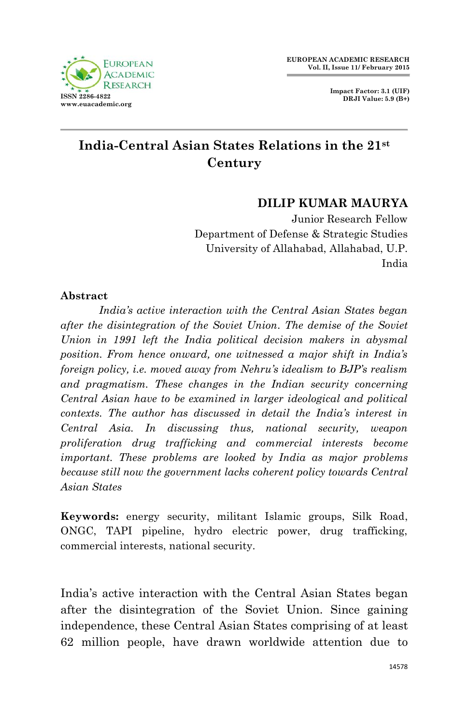**Impact Factor: 3.1 (UIF) DRJI Value: 5.9 (B+)**



# **India-Central Asian States Relations in the 21st Century**

### **DILIP KUMAR MAURYA**

Junior Research Fellow Department of Defense & Strategic Studies University of Allahabad, Allahabad, U.P. India

#### **Abstract**

*India's active interaction with the Central Asian States began after the disintegration of the Soviet Union. The demise of the Soviet Union in 1991 left the India political decision makers in abysmal position. From hence onward, one witnessed a major shift in India's foreign policy, i.e. moved away from Nehru's idealism to BJP's realism and pragmatism. These changes in the Indian security concerning Central Asian have to be examined in larger ideological and political contexts. The author has discussed in detail the India's interest in Central Asia. In discussing thus, national security, weapon proliferation drug trafficking and commercial interests become important. These problems are looked by India as major problems because still now the government lacks coherent policy towards Central Asian States*

**Keywords:** energy security, militant Islamic groups, Silk Road, ONGC, TAPI pipeline, hydro electric power, drug trafficking, commercial interests, national security.

India's active interaction with the Central Asian States began after the disintegration of the Soviet Union. Since gaining independence, these Central Asian States comprising of at least 62 million people, have drawn worldwide attention due to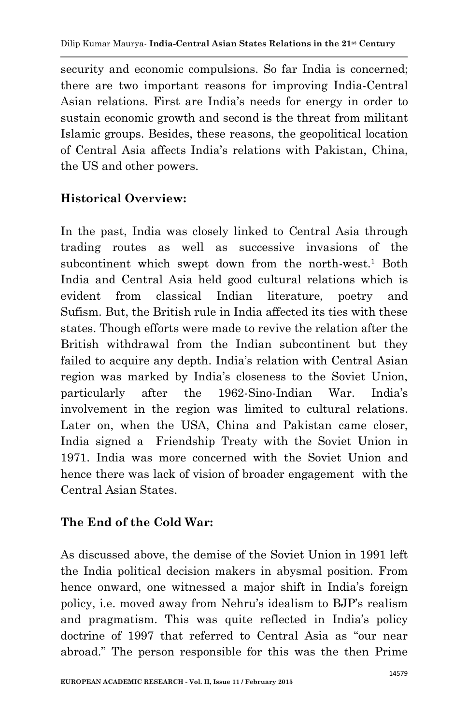security and economic compulsions. So far India is concerned; there are two important reasons for improving India-Central Asian relations. First are India's needs for energy in order to sustain economic growth and second is the threat from militant Islamic groups. Besides, these reasons, the geopolitical location of Central Asia affects India's relations with Pakistan, China, the US and other powers.

### **Historical Overview:**

In the past, India was closely linked to Central Asia through trading routes as well as successive invasions of the subcontinent which swept down from the north-west.<sup>1</sup> Both India and Central Asia held good cultural relations which is evident from classical Indian literature, poetry and Sufism. But, the British rule in India affected its ties with these states. Though efforts were made to revive the relation after the British withdrawal from the Indian subcontinent but they failed to acquire any depth. India's relation with Central Asian region was marked by India's closeness to the Soviet Union, particularly after the 1962-Sino-Indian War. India's involvement in the region was limited to cultural relations. Later on, when the USA, China and Pakistan came closer, India signed a Friendship Treaty with the Soviet Union in 1971. India was more concerned with the Soviet Union and hence there was lack of vision of broader engagement with the Central Asian States.

### **The End of the Cold War:**

As discussed above, the demise of the Soviet Union in 1991 left the India political decision makers in abysmal position. From hence onward, one witnessed a major shift in India's foreign policy, i.e. moved away from Nehru's idealism to BJP's realism and pragmatism. This was quite reflected in India's policy doctrine of 1997 that referred to Central Asia as "our near abroad." The person responsible for this was the then Prime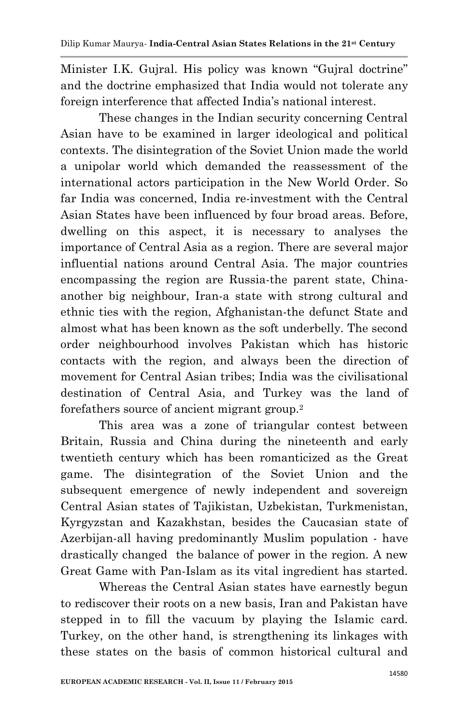Minister I.K. Gujral. His policy was known "Gujral doctrine" and the doctrine emphasized that India would not tolerate any foreign interference that affected India's national interest.

These changes in the Indian security concerning Central Asian have to be examined in larger ideological and political contexts. The disintegration of the Soviet Union made the world a unipolar world which demanded the reassessment of the international actors participation in the New World Order. So far India was concerned, India re-investment with the Central Asian States have been influenced by four broad areas. Before, dwelling on this aspect, it is necessary to analyses the importance of Central Asia as a region. There are several major influential nations around Central Asia. The major countries encompassing the region are Russia-the parent state, Chinaanother big neighbour, Iran-a state with strong cultural and ethnic ties with the region, Afghanistan-the defunct State and almost what has been known as the soft underbelly. The second order neighbourhood involves Pakistan which has historic contacts with the region, and always been the direction of movement for Central Asian tribes; India was the civilisational destination of Central Asia, and Turkey was the land of forefathers source of ancient migrant group.<sup>2</sup>

This area was a zone of triangular contest between Britain, Russia and China during the nineteenth and early twentieth century which has been romanticized as the Great game. The disintegration of the Soviet Union and the subsequent emergence of newly independent and sovereign Central Asian states of Tajikistan, Uzbekistan, Turkmenistan, Kyrgyzstan and Kazakhstan, besides the Caucasian state of Azerbijan-all having predominantly Muslim population - have drastically changed the balance of power in the region. A new Great Game with Pan-Islam as its vital ingredient has started.

Whereas the Central Asian states have earnestly begun to rediscover their roots on a new basis, Iran and Pakistan have stepped in to fill the vacuum by playing the Islamic card. Turkey, on the other hand, is strengthening its linkages with these states on the basis of common historical cultural and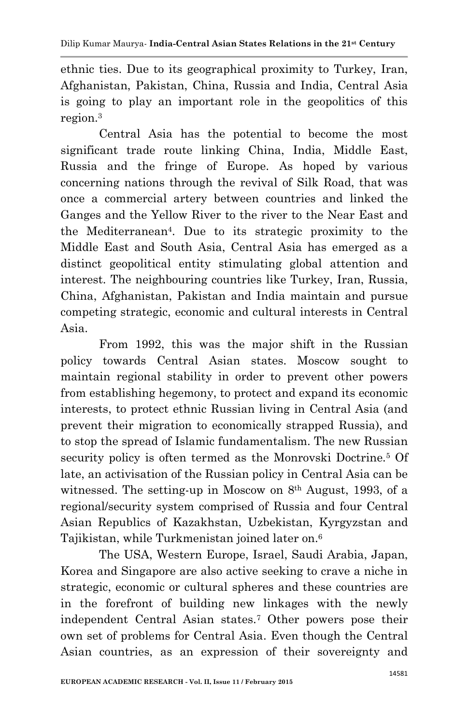ethnic ties. Due to its geographical proximity to Turkey, Iran, Afghanistan, Pakistan, China, Russia and India, Central Asia is going to play an important role in the geopolitics of this region. 3

Central Asia has the potential to become the most significant trade route linking China, India, Middle East, Russia and the fringe of Europe. As hoped by various concerning nations through the revival of Silk Road, that was once a commercial artery between countries and linked the Ganges and the Yellow River to the river to the Near East and the Mediterranean<sup>4</sup> . Due to its strategic proximity to the Middle East and South Asia, Central Asia has emerged as a distinct geopolitical entity stimulating global attention and interest. The neighbouring countries like Turkey, Iran, Russia, China, Afghanistan, Pakistan and India maintain and pursue competing strategic, economic and cultural interests in Central Asia.

From 1992, this was the major shift in the Russian policy towards Central Asian states. Moscow sought to maintain regional stability in order to prevent other powers from establishing hegemony, to protect and expand its economic interests, to protect ethnic Russian living in Central Asia (and prevent their migration to economically strapped Russia), and to stop the spread of Islamic fundamentalism. The new Russian security policy is often termed as the Monrovski Doctrine.<sup>5</sup> Of late, an activisation of the Russian policy in Central Asia can be witnessed. The setting-up in Moscow on 8th August, 1993, of a regional/security system comprised of Russia and four Central Asian Republics of Kazakhstan, Uzbekistan, Kyrgyzstan and Tajikistan, while Turkmenistan joined later on. 6

The USA, Western Europe, Israel, Saudi Arabia, Japan, Korea and Singapore are also active seeking to crave a niche in strategic, economic or cultural spheres and these countries are in the forefront of building new linkages with the newly independent Central Asian states.<sup>7</sup> Other powers pose their own set of problems for Central Asia. Even though the Central Asian countries, as an expression of their sovereignty and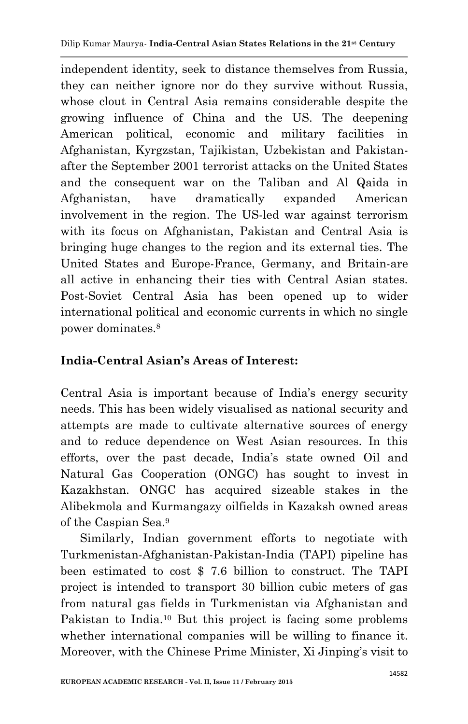independent identity, seek to distance themselves from Russia, they can neither ignore nor do they survive without Russia, whose clout in Central Asia remains considerable despite the growing influence of China and the US. The deepening American political, economic and military facilities in Afghanistan, Kyrgzstan, Tajikistan, Uzbekistan and Pakistanafter the September 2001 terrorist attacks on the United States and the consequent war on the Taliban and Al Qaida in Afghanistan, have dramatically expanded American involvement in the region. The US-led war against terrorism with its focus on Afghanistan, Pakistan and Central Asia is bringing huge changes to the region and its external ties. The United States and Europe-France, Germany, and Britain-are all active in enhancing their ties with Central Asian states. Post-Soviet Central Asia has been opened up to wider international political and economic currents in which no single power dominates.<sup>8</sup>

# **India-Central Asian's Areas of Interest:**

Central Asia is important because of India's energy security needs. This has been widely visualised as national security and attempts are made to cultivate alternative sources of energy and to reduce dependence on West Asian resources. In this efforts, over the past decade, India's state owned Oil and Natural Gas Cooperation (ONGC) has sought to invest in Kazakhstan. ONGC has acquired sizeable stakes in the Alibekmola and Kurmangazy oilfields in Kazaksh owned areas of the Caspian Sea.<sup>9</sup>

 Similarly, Indian government efforts to negotiate with Turkmenistan-Afghanistan-Pakistan-India (TAPI) pipeline has been estimated to cost \$ 7.6 billion to construct. The TAPI project is intended to transport 30 billion cubic meters of gas from natural gas fields in Turkmenistan via Afghanistan and Pakistan to India.<sup>10</sup> But this project is facing some problems whether international companies will be willing to finance it. Moreover, with the Chinese Prime Minister, Xi Jinping's visit to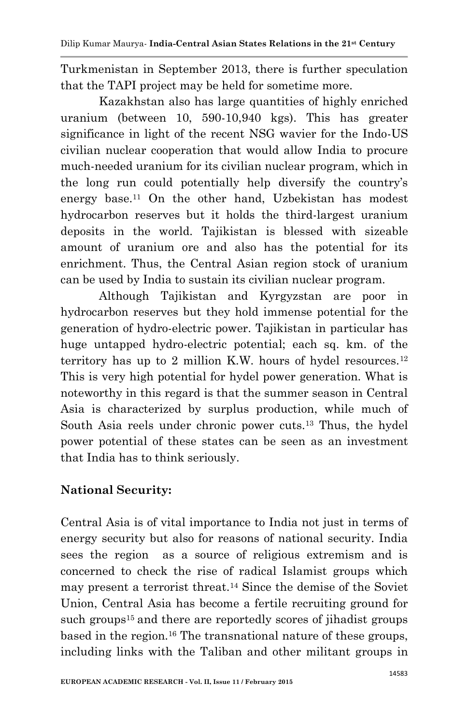Turkmenistan in September 2013, there is further speculation that the TAPI project may be held for sometime more.

Kazakhstan also has large quantities of highly enriched uranium (between 10, 590-10,940 kgs). This has greater significance in light of the recent NSG wavier for the Indo-US civilian nuclear cooperation that would allow India to procure much-needed uranium for its civilian nuclear program, which in the long run could potentially help diversify the country's energy base.<sup>11</sup> On the other hand, Uzbekistan has modest hydrocarbon reserves but it holds the third-largest uranium deposits in the world. Tajikistan is blessed with sizeable amount of uranium ore and also has the potential for its enrichment. Thus, the Central Asian region stock of uranium can be used by India to sustain its civilian nuclear program.

Although Tajikistan and Kyrgyzstan are poor in hydrocarbon reserves but they hold immense potential for the generation of hydro-electric power. Tajikistan in particular has huge untapped hydro-electric potential; each sq. km. of the territory has up to 2 million K.W. hours of hydel resources.<sup>12</sup> This is very high potential for hydel power generation. What is noteworthy in this regard is that the summer season in Central Asia is characterized by surplus production, while much of South Asia reels under chronic power cuts.<sup>13</sup> Thus, the hydel power potential of these states can be seen as an investment that India has to think seriously.

# **National Security:**

Central Asia is of vital importance to India not just in terms of energy security but also for reasons of national security. India sees the region as a source of religious extremism and is concerned to check the rise of radical Islamist groups which may present a terrorist threat.<sup>14</sup> Since the demise of the Soviet Union, Central Asia has become a fertile recruiting ground for such groups<sup>15</sup> and there are reportedly scores of jihadist groups based in the region.<sup>16</sup> The transnational nature of these groups, including links with the Taliban and other militant groups in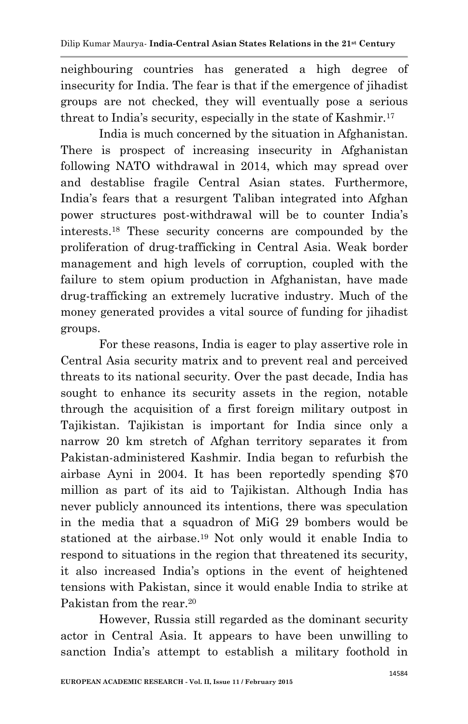neighbouring countries has generated a high degree of insecurity for India. The fear is that if the emergence of jihadist groups are not checked, they will eventually pose a serious threat to India's security, especially in the state of Kashmir.<sup>17</sup>

India is much concerned by the situation in Afghanistan. There is prospect of increasing insecurity in Afghanistan following NATO withdrawal in 2014, which may spread over and destablise fragile Central Asian states. Furthermore, India's fears that a resurgent Taliban integrated into Afghan power structures post-withdrawal will be to counter India's interests.<sup>18</sup> These security concerns are compounded by the proliferation of drug-trafficking in Central Asia. Weak border management and high levels of corruption, coupled with the failure to stem opium production in Afghanistan, have made drug-trafficking an extremely lucrative industry. Much of the money generated provides a vital source of funding for jihadist groups.

For these reasons, India is eager to play assertive role in Central Asia security matrix and to prevent real and perceived threats to its national security. Over the past decade, India has sought to enhance its security assets in the region, notable through the acquisition of a first foreign military outpost in Tajikistan. Tajikistan is important for India since only a narrow 20 km stretch of Afghan territory separates it from Pakistan-administered Kashmir. India began to refurbish the airbase Ayni in 2004. It has been reportedly spending \$70 million as part of its aid to Tajikistan. Although India has never publicly announced its intentions, there was speculation in the media that a squadron of MiG 29 bombers would be stationed at the airbase. <sup>19</sup> Not only would it enable India to respond to situations in the region that threatened its security, it also increased India's options in the event of heightened tensions with Pakistan, since it would enable India to strike at Pakistan from the rear.<sup>20</sup>

However, Russia still regarded as the dominant security actor in Central Asia. It appears to have been unwilling to sanction India's attempt to establish a military foothold in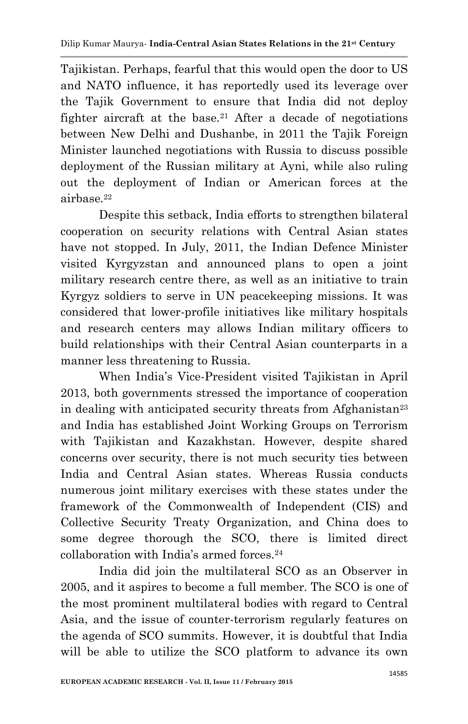Tajikistan. Perhaps, fearful that this would open the door to US and NATO influence, it has reportedly used its leverage over the Tajik Government to ensure that India did not deploy fighter aircraft at the base.<sup>21</sup> After a decade of negotiations between New Delhi and Dushanbe, in 2011 the Tajik Foreign Minister launched negotiations with Russia to discuss possible deployment of the Russian military at Ayni, while also ruling out the deployment of Indian or American forces at the airbase.<sup>22</sup>

Despite this setback, India efforts to strengthen bilateral cooperation on security relations with Central Asian states have not stopped. In July, 2011, the Indian Defence Minister visited Kyrgyzstan and announced plans to open a joint military research centre there, as well as an initiative to train Kyrgyz soldiers to serve in UN peacekeeping missions. It was considered that lower-profile initiatives like military hospitals and research centers may allows Indian military officers to build relationships with their Central Asian counterparts in a manner less threatening to Russia.

When India's Vice-President visited Tajikistan in April 2013, both governments stressed the importance of cooperation in dealing with anticipated security threats from Afghanistan<sup>23</sup> and India has established Joint Working Groups on Terrorism with Tajikistan and Kazakhstan. However, despite shared concerns over security, there is not much security ties between India and Central Asian states. Whereas Russia conducts numerous joint military exercises with these states under the framework of the Commonwealth of Independent (CIS) and Collective Security Treaty Organization, and China does to some degree thorough the SCO, there is limited direct collaboration with India's armed forces.<sup>24</sup>

India did join the multilateral SCO as an Observer in 2005, and it aspires to become a full member. The SCO is one of the most prominent multilateral bodies with regard to Central Asia, and the issue of counter-terrorism regularly features on the agenda of SCO summits. However, it is doubtful that India will be able to utilize the SCO platform to advance its own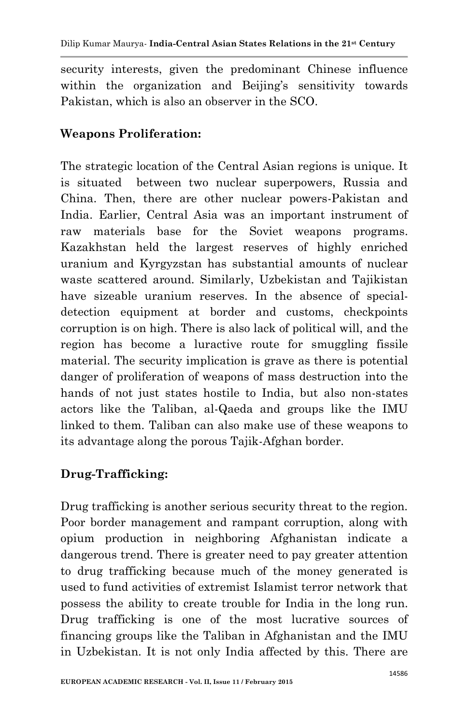security interests, given the predominant Chinese influence within the organization and Beijing's sensitivity towards Pakistan, which is also an observer in the SCO.

### **Weapons Proliferation:**

The strategic location of the Central Asian regions is unique. It is situated between two nuclear superpowers, Russia and China. Then, there are other nuclear powers-Pakistan and India. Earlier, Central Asia was an important instrument of raw materials base for the Soviet weapons programs. Kazakhstan held the largest reserves of highly enriched uranium and Kyrgyzstan has substantial amounts of nuclear waste scattered around. Similarly, Uzbekistan and Tajikistan have sizeable uranium reserves. In the absence of specialdetection equipment at border and customs, checkpoints corruption is on high. There is also lack of political will, and the region has become a luractive route for smuggling fissile material. The security implication is grave as there is potential danger of proliferation of weapons of mass destruction into the hands of not just states hostile to India, but also non-states actors like the Taliban, al-Qaeda and groups like the IMU linked to them. Taliban can also make use of these weapons to its advantage along the porous Tajik-Afghan border.

### **Drug-Trafficking:**

Drug trafficking is another serious security threat to the region. Poor border management and rampant corruption, along with opium production in neighboring Afghanistan indicate a dangerous trend. There is greater need to pay greater attention to drug trafficking because much of the money generated is used to fund activities of extremist Islamist terror network that possess the ability to create trouble for India in the long run. Drug trafficking is one of the most lucrative sources of financing groups like the Taliban in Afghanistan and the IMU in Uzbekistan. It is not only India affected by this. There are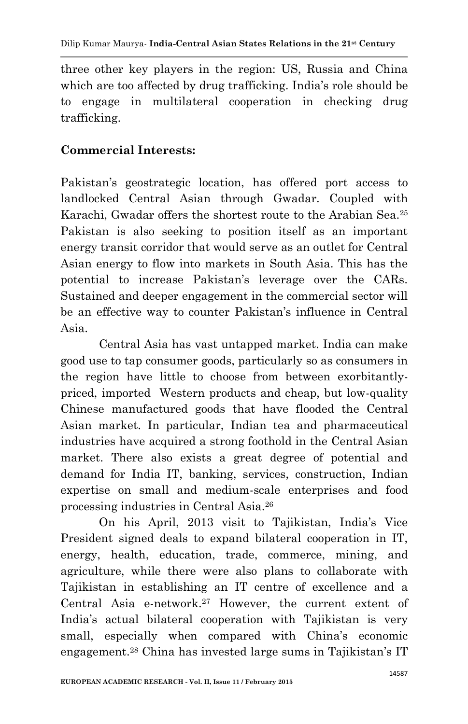three other key players in the region: US, Russia and China which are too affected by drug trafficking. India's role should be to engage in multilateral cooperation in checking drug trafficking.

## **Commercial Interests:**

Pakistan's geostrategic location, has offered port access to landlocked Central Asian through Gwadar. Coupled with Karachi, Gwadar offers the shortest route to the Arabian Sea.<sup>25</sup> Pakistan is also seeking to position itself as an important energy transit corridor that would serve as an outlet for Central Asian energy to flow into markets in South Asia. This has the potential to increase Pakistan's leverage over the CARs. Sustained and deeper engagement in the commercial sector will be an effective way to counter Pakistan's influence in Central Asia.

Central Asia has vast untapped market. India can make good use to tap consumer goods, particularly so as consumers in the region have little to choose from between exorbitantlypriced, imported Western products and cheap, but low-quality Chinese manufactured goods that have flooded the Central Asian market. In particular, Indian tea and pharmaceutical industries have acquired a strong foothold in the Central Asian market. There also exists a great degree of potential and demand for India IT, banking, services, construction, Indian expertise on small and medium-scale enterprises and food processing industries in Central Asia. 26

On his April, 2013 visit to Tajikistan, India's Vice President signed deals to expand bilateral cooperation in IT, energy, health, education, trade, commerce, mining, and agriculture, while there were also plans to collaborate with Tajikistan in establishing an IT centre of excellence and a Central Asia e-network.<sup>27</sup> However, the current extent of India's actual bilateral cooperation with Tajikistan is very small, especially when compared with China's economic engagement. <sup>28</sup> China has invested large sums in Tajikistan's IT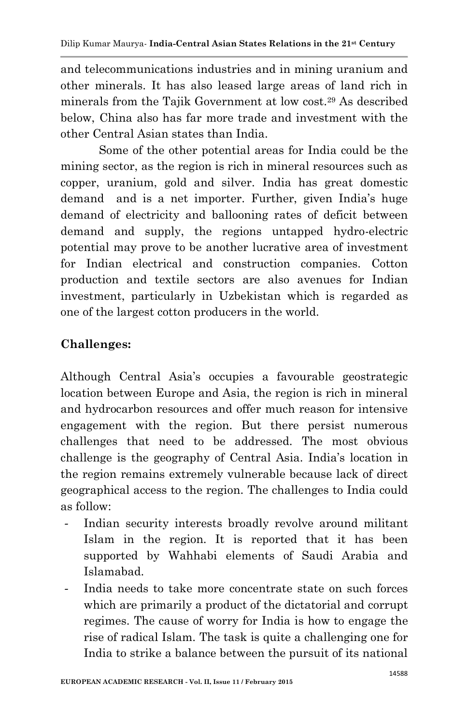and telecommunications industries and in mining uranium and other minerals. It has also leased large areas of land rich in minerals from the Tajik Government at low cost.<sup>29</sup> As described below, China also has far more trade and investment with the other Central Asian states than India.

Some of the other potential areas for India could be the mining sector, as the region is rich in mineral resources such as copper, uranium, gold and silver. India has great domestic demand and is a net importer. Further, given India's huge demand of electricity and ballooning rates of deficit between demand and supply, the regions untapped hydro-electric potential may prove to be another lucrative area of investment for Indian electrical and construction companies. Cotton production and textile sectors are also avenues for Indian investment, particularly in Uzbekistan which is regarded as one of the largest cotton producers in the world.

# **Challenges:**

Although Central Asia's occupies a favourable geostrategic location between Europe and Asia, the region is rich in mineral and hydrocarbon resources and offer much reason for intensive engagement with the region. But there persist numerous challenges that need to be addressed. The most obvious challenge is the geography of Central Asia. India's location in the region remains extremely vulnerable because lack of direct geographical access to the region. The challenges to India could as follow:

- Indian security interests broadly revolve around militant Islam in the region. It is reported that it has been supported by Wahhabi elements of Saudi Arabia and Islamabad.
- India needs to take more concentrate state on such forces which are primarily a product of the dictatorial and corrupt regimes. The cause of worry for India is how to engage the rise of radical Islam. The task is quite a challenging one for India to strike a balance between the pursuit of its national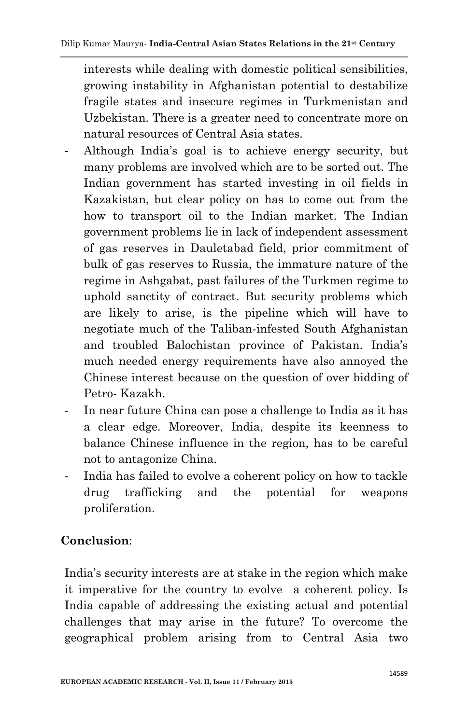interests while dealing with domestic political sensibilities, growing instability in Afghanistan potential to destabilize fragile states and insecure regimes in Turkmenistan and Uzbekistan. There is a greater need to concentrate more on natural resources of Central Asia states.

- Although India's goal is to achieve energy security, but many problems are involved which are to be sorted out. The Indian government has started investing in oil fields in Kazakistan, but clear policy on has to come out from the how to transport oil to the Indian market. The Indian government problems lie in lack of independent assessment of gas reserves in Dauletabad field, prior commitment of bulk of gas reserves to Russia, the immature nature of the regime in Ashgabat, past failures of the Turkmen regime to uphold sanctity of contract. But security problems which are likely to arise, is the pipeline which will have to negotiate much of the Taliban-infested South Afghanistan and troubled Balochistan province of Pakistan. India's much needed energy requirements have also annoyed the Chinese interest because on the question of over bidding of Petro- Kazakh.
- In near future China can pose a challenge to India as it has a clear edge. Moreover, India, despite its keenness to balance Chinese influence in the region, has to be careful not to antagonize China.
- India has failed to evolve a coherent policy on how to tackle drug trafficking and the potential for weapons proliferation.

### **Conclusion**:

India's security interests are at stake in the region which make it imperative for the country to evolve a coherent policy. Is India capable of addressing the existing actual and potential challenges that may arise in the future? To overcome the geographical problem arising from to Central Asia two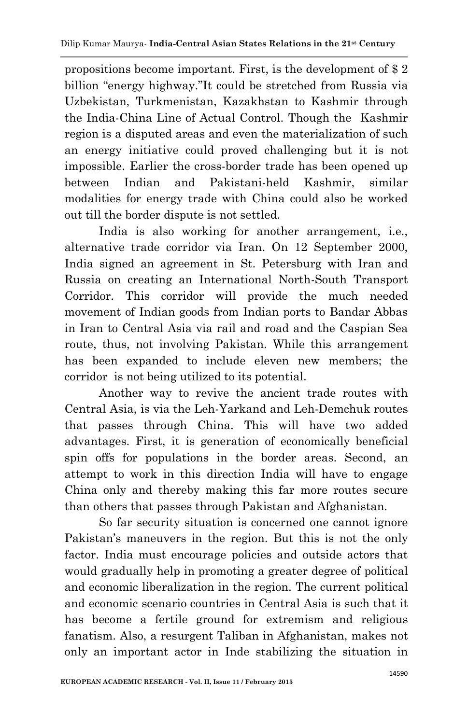propositions become important. First, is the development of \$ 2 billion "energy highway."It could be stretched from Russia via Uzbekistan, Turkmenistan, Kazakhstan to Kashmir through the India-China Line of Actual Control. Though the Kashmir region is a disputed areas and even the materialization of such an energy initiative could proved challenging but it is not impossible. Earlier the cross-border trade has been opened up between Indian and Pakistani-held Kashmir, similar modalities for energy trade with China could also be worked out till the border dispute is not settled.

India is also working for another arrangement, i.e., alternative trade corridor via Iran. On 12 September 2000, India signed an agreement in St. Petersburg with Iran and Russia on creating an International North-South Transport Corridor. This corridor will provide the much needed movement of Indian goods from Indian ports to Bandar Abbas in Iran to Central Asia via rail and road and the Caspian Sea route, thus, not involving Pakistan. While this arrangement has been expanded to include eleven new members; the corridor is not being utilized to its potential.

Another way to revive the ancient trade routes with Central Asia, is via the Leh-Yarkand and Leh-Demchuk routes that passes through China. This will have two added advantages. First, it is generation of economically beneficial spin offs for populations in the border areas. Second, an attempt to work in this direction India will have to engage China only and thereby making this far more routes secure than others that passes through Pakistan and Afghanistan.

So far security situation is concerned one cannot ignore Pakistan's maneuvers in the region. But this is not the only factor. India must encourage policies and outside actors that would gradually help in promoting a greater degree of political and economic liberalization in the region. The current political and economic scenario countries in Central Asia is such that it has become a fertile ground for extremism and religious fanatism. Also, a resurgent Taliban in Afghanistan, makes not only an important actor in Inde stabilizing the situation in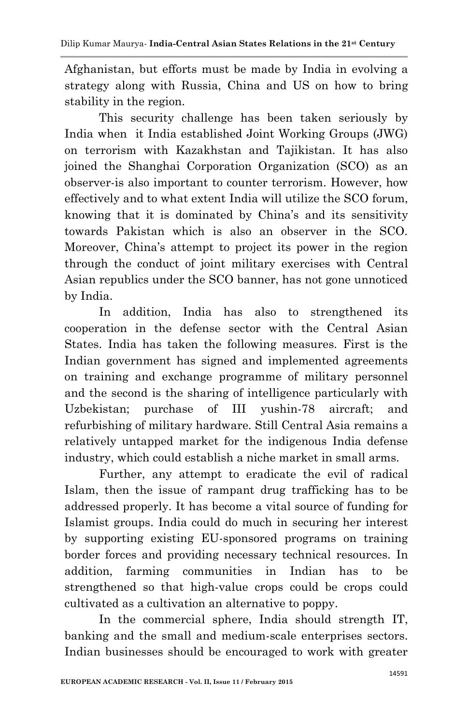Afghanistan, but efforts must be made by India in evolving a strategy along with Russia, China and US on how to bring stability in the region.

This security challenge has been taken seriously by India when it India established Joint Working Groups (JWG) on terrorism with Kazakhstan and Tajikistan. It has also joined the Shanghai Corporation Organization (SCO) as an observer-is also important to counter terrorism. However, how effectively and to what extent India will utilize the SCO forum, knowing that it is dominated by China's and its sensitivity towards Pakistan which is also an observer in the SCO. Moreover, China's attempt to project its power in the region through the conduct of joint military exercises with Central Asian republics under the SCO banner, has not gone unnoticed by India.

In addition, India has also to strengthened its cooperation in the defense sector with the Central Asian States. India has taken the following measures. First is the Indian government has signed and implemented agreements on training and exchange programme of military personnel and the second is the sharing of intelligence particularly with Uzbekistan; purchase of III yushin-78 aircraft; and refurbishing of military hardware. Still Central Asia remains a relatively untapped market for the indigenous India defense industry, which could establish a niche market in small arms.

Further, any attempt to eradicate the evil of radical Islam, then the issue of rampant drug trafficking has to be addressed properly. It has become a vital source of funding for Islamist groups. India could do much in securing her interest by supporting existing EU-sponsored programs on training border forces and providing necessary technical resources. In addition, farming communities in Indian has to be strengthened so that high-value crops could be crops could cultivated as a cultivation an alternative to poppy.

In the commercial sphere, India should strength IT, banking and the small and medium-scale enterprises sectors. Indian businesses should be encouraged to work with greater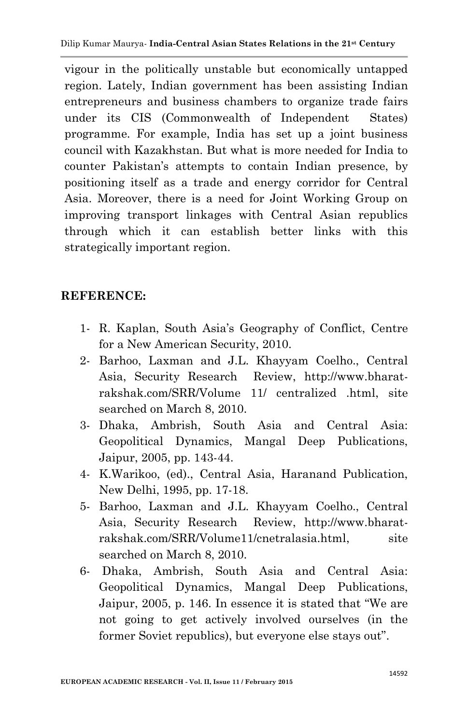vigour in the politically unstable but economically untapped region. Lately, Indian government has been assisting Indian entrepreneurs and business chambers to organize trade fairs under its CIS (Commonwealth of Independent States) programme. For example, India has set up a joint business council with Kazakhstan. But what is more needed for India to counter Pakistan's attempts to contain Indian presence, by positioning itself as a trade and energy corridor for Central Asia. Moreover, there is a need for Joint Working Group on improving transport linkages with Central Asian republics through which it can establish better links with this strategically important region.

#### **REFERENCE:**

- 1- R. Kaplan, South Asia's Geography of Conflict, Centre for a New American Security, 2010.
- 2- Barhoo, Laxman and J.L. Khayyam Coelho., Central Asia, Security Research Review, http://www.bharatrakshak.com/SRR/Volume 11/ centralized .html, site searched on March 8, 2010.
- 3- Dhaka, Ambrish, South Asia and Central Asia: Geopolitical Dynamics, Mangal Deep Publications, Jaipur, 2005, pp. 143-44.
- 4- K.Warikoo, (ed)., Central Asia, Haranand Publication, New Delhi, 1995, pp. 17-18.
- 5- Barhoo, Laxman and J.L. Khayyam Coelho., Central Asia, Security Research Review, http://www.bharatrakshak.com/SRR/Volume11/cnetralasia.html, site searched on March 8, 2010.
- 6- Dhaka, Ambrish, South Asia and Central Asia: Geopolitical Dynamics, Mangal Deep Publications, Jaipur, 2005, p. 146. In essence it is stated that "We are not going to get actively involved ourselves (in the former Soviet republics), but everyone else stays out".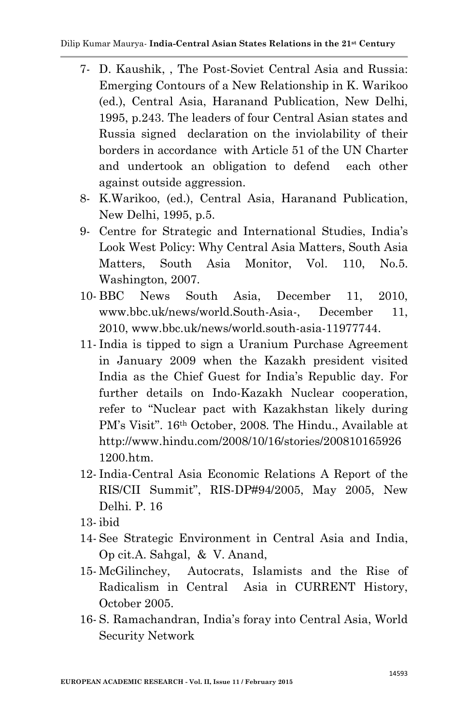- 7- D. Kaushik, , The Post-Soviet Central Asia and Russia: Emerging Contours of a New Relationship in K. Warikoo (ed.), Central Asia, Haranand Publication, New Delhi, 1995, p.243. The leaders of four Central Asian states and Russia signed declaration on the inviolability of their borders in accordance with Article 51 of the UN Charter and undertook an obligation to defend each other against outside aggression.
- 8- K.Warikoo, (ed.), Central Asia, Haranand Publication, New Delhi, 1995, p.5.
- 9- Centre for Strategic and International Studies, India's Look West Policy: Why Central Asia Matters, South Asia Matters, South Asia Monitor, Vol. 110, No.5. Washington, 2007.
- 10- BBC News South Asia, December 11, 2010, www.bbc.uk/news/world.South-Asia-, December 11, 2010, www.bbc.uk/news/world.south-asia-11977744.
- 11- India is tipped to sign a Uranium Purchase Agreement in January 2009 when the Kazakh president visited India as the Chief Guest for India's Republic day. For further details on Indo-Kazakh Nuclear cooperation, refer to "Nuclear pact with Kazakhstan likely during PM's Visit". 16th October, 2008. The Hindu., Available at http://www.hindu.com/2008/10/16/stories/200810165926 1200.htm.
- 12- India-Central Asia Economic Relations A Report of the RIS/CII Summit", RIS-DP#94/2005, May 2005, New Delhi. P. 16
- 13- ibid
- 14- See Strategic Environment in Central Asia and India, Op cit.A. Sahgal, & V. Anand,
- 15- McGilinchey, Autocrats, Islamists and the Rise of Radicalism in Central Asia in CURRENT History, October 2005.
- 16- S. Ramachandran, India's foray into Central Asia, World Security Network